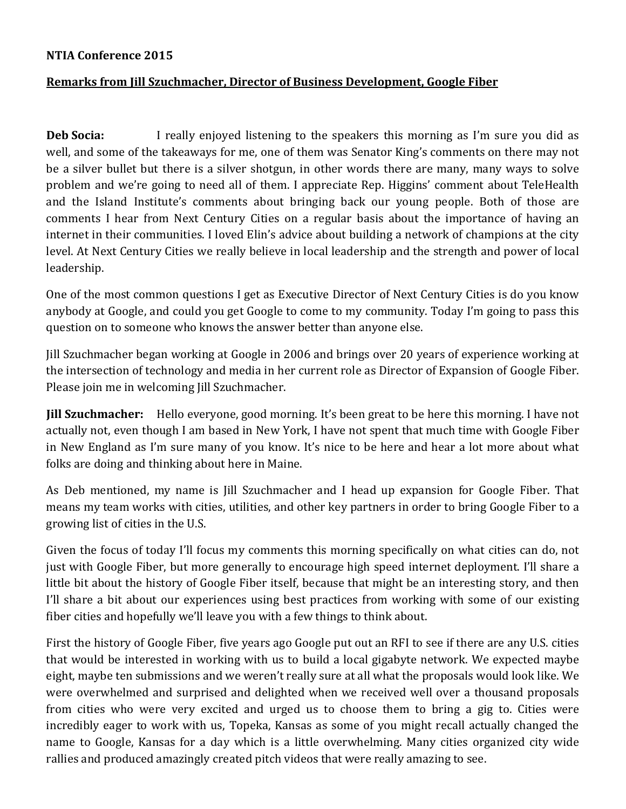## **NTIA Conference 2015**

## **Remarks from Jill Szuchmacher, Director of Business Development, Google Fiber**

**Deb Socia:** I really enjoyed listening to the speakers this morning as I'm sure you did as well, and some of the takeaways for me, one of them was Senator King's comments on there may not be a silver bullet but there is a silver shotgun, in other words there are many, many ways to solve problem and we're going to need all of them. I appreciate Rep. Higgins' comment about TeleHealth and the Island Institute's comments about bringing back our young people. Both of those are comments I hear from Next Century Cities on a regular basis about the importance of having an internet in their communities. I loved Elin's advice about building a network of champions at the city level. At Next Century Cities we really believe in local leadership and the strength and power of local leadership.

One of the most common questions I get as Executive Director of Next Century Cities is do you know anybody at Google, and could you get Google to come to my community. Today I'm going to pass this question on to someone who knows the answer better than anyone else.

Jill Szuchmacher began working at Google in 2006 and brings over 20 years of experience working at the intersection of technology and media in her current role as Director of Expansion of Google Fiber. Please join me in welcoming Jill Szuchmacher.

**Jill Szuchmacher:** Hello everyone, good morning. It's been great to be here this morning. I have not actually not, even though I am based in New York, I have not spent that much time with Google Fiber in New England as I'm sure many of you know. It's nice to be here and hear a lot more about what folks are doing and thinking about here in Maine.

As Deb mentioned, my name is Jill Szuchmacher and I head up expansion for Google Fiber. That means my team works with cities, utilities, and other key partners in order to bring Google Fiber to a growing list of cities in the U.S.

Given the focus of today I'll focus my comments this morning specifically on what cities can do, not just with Google Fiber, but more generally to encourage high speed internet deployment. I'll share a little bit about the history of Google Fiber itself, because that might be an interesting story, and then I'll share a bit about our experiences using best practices from working with some of our existing fiber cities and hopefully we'll leave you with a few things to think about.

First the history of Google Fiber, five years ago Google put out an RFI to see if there are any U.S. cities that would be interested in working with us to build a local gigabyte network. We expected maybe eight, maybe ten submissions and we weren't really sure at all what the proposals would look like. We were overwhelmed and surprised and delighted when we received well over a thousand proposals from cities who were very excited and urged us to choose them to bring a gig to. Cities were incredibly eager to work with us, Topeka, Kansas as some of you might recall actually changed the name to Google, Kansas for a day which is a little overwhelming. Many cities organized city wide rallies and produced amazingly created pitch videos that were really amazing to see.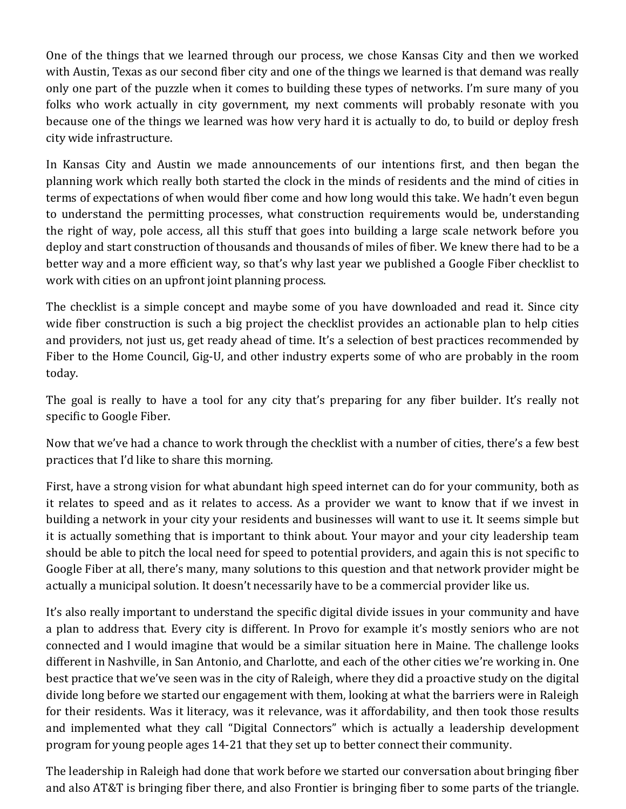One of the things that we learned through our process, we chose Kansas City and then we worked with Austin, Texas as our second fiber city and one of the things we learned is that demand was really only one part of the puzzle when it comes to building these types of networks. I'm sure many of you folks who work actually in city government, my next comments will probably resonate with you because one of the things we learned was how very hard it is actually to do, to build or deploy fresh city wide infrastructure.

In Kansas City and Austin we made announcements of our intentions first, and then began the planning work which really both started the clock in the minds of residents and the mind of cities in terms of expectations of when would fiber come and how long would this take. We hadn't even begun to understand the permitting processes, what construction requirements would be, understanding the right of way, pole access, all this stuff that goes into building a large scale network before you deploy and start construction of thousands and thousands of miles of fiber. We knew there had to be a better way and a more efficient way, so that's why last year we published a Google Fiber checklist to work with cities on an upfront joint planning process.

The checklist is a simple concept and maybe some of you have downloaded and read it. Since city wide fiber construction is such a big project the checklist provides an actionable plan to help cities and providers, not just us, get ready ahead of time. It's a selection of best practices recommended by Fiber to the Home Council, Gig-U, and other industry experts some of who are probably in the room today.

The goal is really to have a tool for any city that's preparing for any fiber builder. It's really not specific to Google Fiber.

Now that we've had a chance to work through the checklist with a number of cities, there's a few best practices that I'd like to share this morning.

First, have a strong vision for what abundant high speed internet can do for your community, both as it relates to speed and as it relates to access. As a provider we want to know that if we invest in building a network in your city your residents and businesses will want to use it. It seems simple but it is actually something that is important to think about. Your mayor and your city leadership team should be able to pitch the local need for speed to potential providers, and again this is not specific to Google Fiber at all, there's many, many solutions to this question and that network provider might be actually a municipal solution. It doesn't necessarily have to be a commercial provider like us.

It's also really important to understand the specific digital divide issues in your community and have a plan to address that. Every city is different. In Provo for example it's mostly seniors who are not connected and I would imagine that would be a similar situation here in Maine. The challenge looks different in Nashville, in San Antonio, and Charlotte, and each of the other cities we're working in. One best practice that we've seen was in the city of Raleigh, where they did a proactive study on the digital divide long before we started our engagement with them, looking at what the barriers were in Raleigh for their residents. Was it literacy, was it relevance, was it affordability, and then took those results and implemented what they call "Digital Connectors" which is actually a leadership development program for young people ages 14-21 that they set up to better connect their community.

The leadership in Raleigh had done that work before we started our conversation about bringing fiber and also AT&T is bringing fiber there, and also Frontier is bringing fiber to some parts of the triangle.